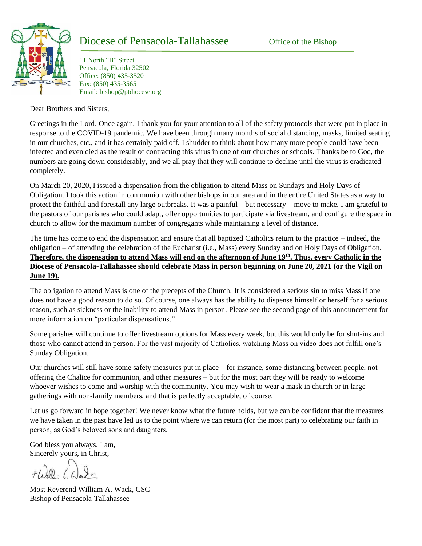

## Diocese of Pensacola-Tallahassee Office of the Bishop

11 North "B" Street Pensacola, Florida 32502 Office: (850) 435-3520 Fax: (850) 435-3565 Email: bishop@ptdiocese.org

Dear Brothers and Sisters,

Greetings in the Lord. Once again, I thank you for your attention to all of the safety protocols that were put in place in response to the COVID-19 pandemic. We have been through many months of social distancing, masks, limited seating in our churches, etc., and it has certainly paid off. I shudder to think about how many more people could have been infected and even died as the result of contracting this virus in one of our churches or schools. Thanks be to God, the numbers are going down considerably, and we all pray that they will continue to decline until the virus is eradicated completely.

On March 20, 2020, I issued a dispensation from the obligation to attend Mass on Sundays and Holy Days of Obligation. I took this action in communion with other bishops in our area and in the entire United States as a way to protect the faithful and forestall any large outbreaks. It was a painful – but necessary – move to make. I am grateful to the pastors of our parishes who could adapt, offer opportunities to participate via livestream, and configure the space in church to allow for the maximum number of congregants while maintaining a level of distance.

The time has come to end the dispensation and ensure that all baptized Catholics return to the practice – indeed, the obligation – of attending the celebration of the Eucharist (i.e., Mass) every Sunday and on Holy Days of Obligation. **Therefore, the dispensation to attend Mass will end on the afternoon of June 19th . Thus, every Catholic in the Diocese of Pensacola-Tallahassee should celebrate Mass in person beginning on June 20, 2021 (or the Vigil on June 19).**

The obligation to attend Mass is one of the precepts of the Church. It is considered a serious sin to miss Mass if one does not have a good reason to do so. Of course, one always has the ability to dispense himself or herself for a serious reason, such as sickness or the inability to attend Mass in person. Please see the second page of this announcement for more information on "particular dispensations."

Some parishes will continue to offer livestream options for Mass every week, but this would only be for shut-ins and those who cannot attend in person. For the vast majority of Catholics, watching Mass on video does not fulfill one's Sunday Obligation.

Our churches will still have some safety measures put in place – for instance, some distancing between people, not offering the Chalice for communion, and other measures – but for the most part they will be ready to welcome whoever wishes to come and worship with the community. You may wish to wear a mask in church or in large gatherings with non-family members, and that is perfectly acceptable, of course.

Let us go forward in hope together! We never know what the future holds, but we can be confident that the measures we have taken in the past have led us to the point where we can return (for the most part) to celebrating our faith in person, as God's beloved sons and daughters.

God bless you always. I am, Sincerely yours, in Christ,

Most Reverend William A. Wack, CSC Bishop of Pensacola-Tallahassee